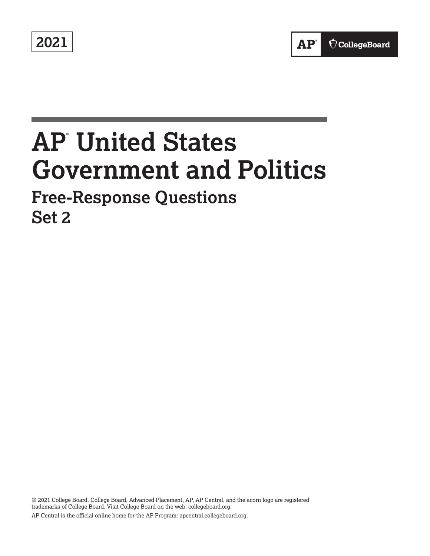**2021** 

# **AP® United States Government and Politics**

# **Free-Response Questions Set 2**

© 2021 College Board. College Board, Advanced Placement, AP, AP Central, and the acorn logo are registered trademarks of College Board. Visit College Board on the web: [collegeboard.org.](https://collegeboard.org) AP Central is the official online home for the AP Program: [apcentral.collegeboard.org.](https://apcentral.collegeboard.org)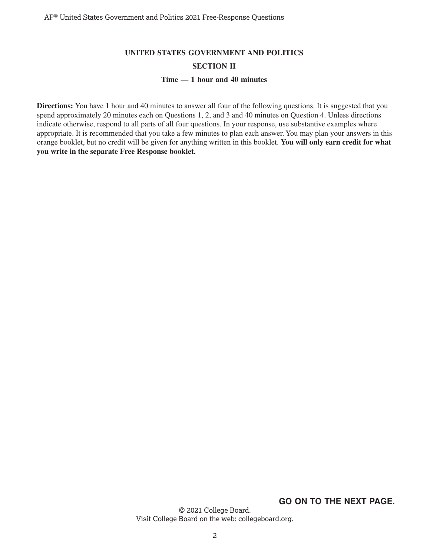# **UNITED STATES GOVERNMENT AND POLITICS SECTION II Time — 1 hour and 40 minutes**

**Directions:** You have 1 hour and 40 minutes to answer all four of the following questions. It is suggested that you spend approximately 20 minutes each on Questions 1, 2, and 3 and 40 minutes on Question 4. Unless directions indicate otherwise, respond to all parts of all four questions. In your response, use substantive examples where appropriate. It is recommended that you take a few minutes to plan each answer. You may plan your answers in this orange booklet, but no credit will be given for anything written in this booklet. **You will only earn credit for what you write in the separate Free Response booklet.** 

**GO ON TO THE NEXT PAGE.**

© 2021 College Board. Visit College Board on the web: collegeboard.org.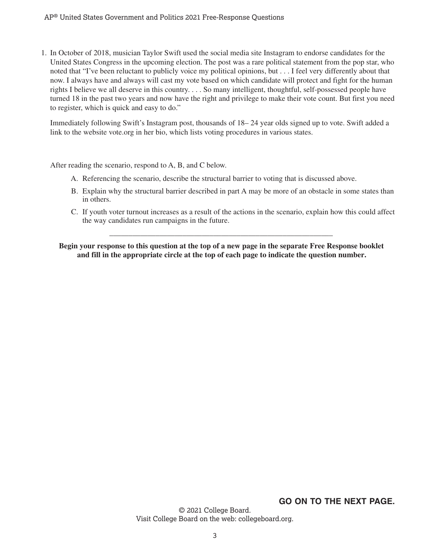#### AP® United States Government and Politics 2021 Free-Response Questions

1. In October of 2018, musician Taylor Swift used the social media site Instagram to endorse candidates for the United States Congress in the upcoming election. The post was a rare political statement from the pop star, who noted that "I've been reluctant to publicly voice my political opinions, but...I feel very differently about that now. I always have and always will cast my vote based on which candidate will protect and fight for the human rights I believe we all deserve in this country. . . . So many intelligent, thoughtful, self-possessed people have turned 18 in the past two years and now have the right and privilege to make their vote count. But first you need to register, which is quick and easy to do."

Immediately following Swift's Instagram post, thousands of 18– 24 year olds signed up to vote. Swift added a link to the website vote.org in her bio, which lists voting procedures in various states.

After reading the scenario, respond to A, B, and C below.

- A. Referencing the scenario, describe the structural barrier to voting that is discussed above.
- B. Explain why the structural barrier described in part A may be more of an obstacle in some states than in others.
- C. If youth voter turnout increases as a result of the actions in the scenario, explain how this could affect the way candidates run campaigns in the future.

**Begin your response to this question at the top of a new page in the separate Free Response booklet and fill in the appropriate circle at the top of each page to indicate the question number.** 

\_\_\_\_\_\_\_\_\_\_\_\_\_\_\_\_\_\_\_\_\_\_\_\_\_\_\_\_\_\_\_\_\_\_\_\_\_\_\_\_\_\_\_\_\_\_\_\_\_\_\_\_\_\_\_\_\_\_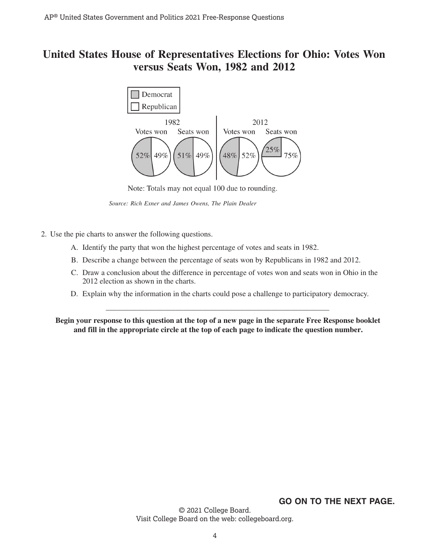# **United States House of Representatives Elections for Ohio: Votes Won versus Seats Won, 1982 and 2012**



Note: Totals may not equal 100 due to rounding.

*Source: Rich Exner and James Owens, The Plain Dealer*

- 2. Use the pie charts to answer the following questions.
	- A. Identify the party that won the highest percentage of votes and seats in 1982.
	- B. Describe a change between the percentage of seats won by Republicans in 1982 and 2012.
	- C. Draw a conclusion about the difference in percentage of votes won and seats won in Ohio in the 2012 election as shown in the charts.
	- \_\_\_\_\_\_\_\_\_\_\_\_\_\_\_\_\_\_\_\_\_\_\_\_\_\_\_\_\_\_\_\_\_\_\_\_\_\_\_\_\_\_\_\_\_\_\_\_\_\_\_\_\_\_\_\_\_\_ D. Explain why the information in the charts could pose a challenge to participatory democracy.

**Begin your response to this question at the top of a new page in the separate Free Response booklet and fill in the appropriate circle at the top of each page to indicate the question number.** 

## **GO ON TO THE NEXT PAGE.**

© 2021 College Board. Visit College Board on the web: collegeboard.org.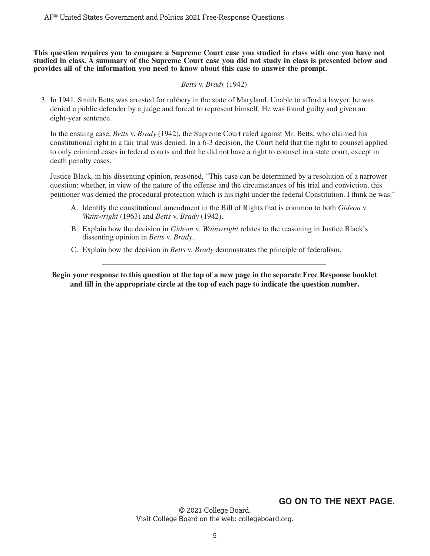**This question requires you to compare a Supreme Court case you studied in class with one you have not studied in class. A summary of the Supreme Court case you did not study in class is presented below and provides all of the information you need to know about this case to answer the prompt.** 

#### *Betts* v. *Brady* (1942)

3. In 1941, Smith Betts was arrested for robbery in the state of Maryland. Unable to afford a lawyer, he was denied a public defender by a judge and forced to represent himself. He was found guilty and given an eight-year sentence.

In the ensuing case, *Betts* v. *Brady* (1942), the Supreme Court ruled against Mr. Betts, who claimed his constitutional right to a fair trial was denied. In a 6-3 decision, the Court held that the right to counsel applied to only criminal cases in federal courts and that he did not have a right to counsel in a state court, except in death penalty cases.

Justice Black, in his dissenting opinion, reasoned, "This case can be determined by a resolution of a narrower question: whether, in view of the nature of the offense and the circumstances of his trial and conviction, this petitioner was denied the procedural protection which is his right under the federal Constitution. I think he was."

- A. Identify the constitutional amendment in the Bill of Rights that is common to both *Gideon* v. *Wainwright* (1963) and *Betts* v. *Brady* (1942).
- B. Explain how the decision in *Gideon* v. *Wainwright* relates to the reasoning in Justice Black's dissenting opinion in *Betts* v. *Brady*.
- C. Explain how the decision in *Betts* v. *Brady* demonstrates the principle of federalism.

**Begin your response to this question at the top of a new page in the separate Free Response booklet and fill in the appropriate circle at the top of each page to indicate the question number.** 

\_\_\_\_\_\_\_\_\_\_\_\_\_\_\_\_\_\_\_\_\_\_\_\_\_\_\_\_\_\_\_\_\_\_\_\_\_\_\_\_\_\_\_\_\_\_\_\_\_\_\_\_\_\_\_\_\_\_